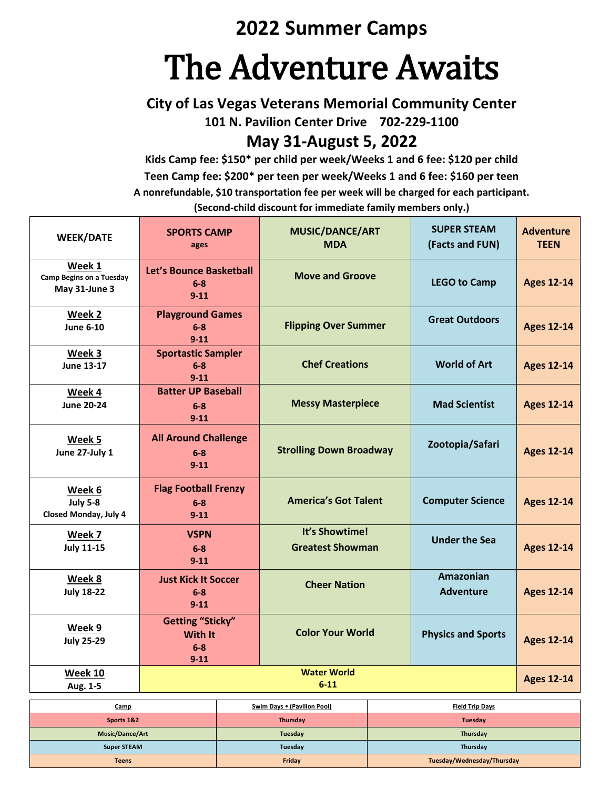# **2022 Summer Camps**

# The Adventure Awaits

**City of Las Vegas Veterans Memorial Community Center**

**101 N. Pavilion Center Drive 702-229-1100**

**May 31-August 5, 2022**

**Kids Camp fee: \$150\* per child per week/Weeks 1 and 6 fee: \$120 per child Teen Camp fee: \$200\* per teen per week/Weeks 1 and 6 fee: \$160 per teen A nonrefundable, \$10 transportation fee per week will be charged for each participant. (Second-child discount for immediate family members only.)**

| <b>WEEK/DATE</b>                                           | <b>SPORTS CAMP</b><br>ages                                     | <b>MUSIC/DANCE/ART</b><br><b>MDA</b>      | <b>SUPER STEAM</b><br>(Facts and FUN) | <b>Adventure</b><br><b>TEEN</b> |
|------------------------------------------------------------|----------------------------------------------------------------|-------------------------------------------|---------------------------------------|---------------------------------|
| Week 1<br><b>Camp Begins on a Tuesday</b><br>May 31-June 3 | Let's Bounce Basketball<br>$6-8$<br>$9 - 11$                   | <b>Move and Groove</b>                    | <b>LEGO to Camp</b>                   | <b>Ages 12-14</b>               |
| Week 2<br><b>June 6-10</b>                                 | <b>Playground Games</b><br>$6-8$<br>$9 - 11$                   | <b>Flipping Over Summer</b>               | <b>Great Outdoors</b>                 | <b>Ages 12-14</b>               |
| Week 3<br><b>June 13-17</b>                                | <b>Sportastic Sampler</b><br>$6-8$<br>$9 - 11$                 | <b>Chef Creations</b>                     | <b>World of Art</b>                   | <b>Ages 12-14</b>               |
| Week 4<br><b>June 20-24</b>                                | <b>Batter UP Baseball</b><br>$6-8$<br>$9 - 11$                 | <b>Messy Masterpiece</b>                  | <b>Mad Scientist</b>                  | <b>Ages 12-14</b>               |
| Week 5<br>June 27-July 1                                   | <b>All Around Challenge</b><br>$6 - 8$<br>$9 - 11$             | <b>Strolling Down Broadway</b>            | Zootopia/Safari                       | <b>Ages 12-14</b>               |
| Week 6<br><b>July 5-8</b><br>Closed Monday, July 4         | <b>Flag Football Frenzy</b><br>$6-8$<br>$9 - 11$               | <b>America's Got Talent</b>               | <b>Computer Science</b>               | <b>Ages 12-14</b>               |
| Week 7<br><b>July 11-15</b>                                | <b>VSPN</b><br>$6-8$<br>$9 - 11$                               | It's Showtime!<br><b>Greatest Showman</b> | <b>Under the Sea</b>                  | <b>Ages 12-14</b>               |
| Week 8<br><b>July 18-22</b>                                | <b>Just Kick It Soccer</b><br>$6-8$<br>$9 - 11$                | <b>Cheer Nation</b>                       | <b>Amazonian</b><br><b>Adventure</b>  | <b>Ages 12-14</b>               |
| Week 9<br><b>July 25-29</b>                                | <b>Getting "Sticky"</b><br><b>With It</b><br>$6-8$<br>$9 - 11$ | <b>Color Your World</b>                   | <b>Physics and Sports</b>             | <b>Ages 12-14</b>               |
| Week 10<br>Aug. 1-5                                        | <b>Water World</b><br>$6 - 11$                                 |                                           |                                       | <b>Ages 12-14</b>               |

**Camp Swim Days (Pavilion Pool) Field Trip Days Sports 1&2 Thursday Tuesday Music/Dance/Art Tuesday Thursday Super STEAM Tuesday Thursday Teens Friday Tuesday/Wednesday/Thursday**